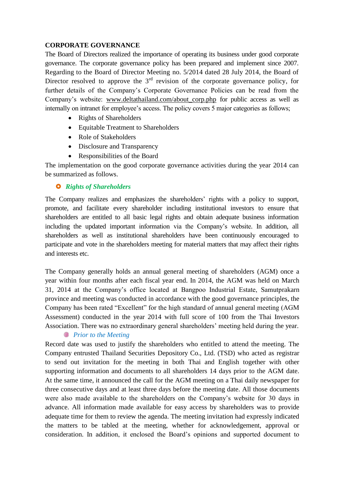# **CORPORATE GOVERNANCE**

The Board of Directors realized the importance of operating its business under good corporate governance. The corporate governance policy has been prepared and implement since 2007. Regarding to the Board of Director Meeting no. 5/2014 dated 28 July 2014, the Board of Director resolved to approve the  $3<sup>rd</sup>$  revision of the corporate governance policy, for further details of the Company's Corporate Governance Policies can be read from the Company's website: [www.deltathailand.com/about\\_corp.php](http://www.deltathailand.com/about_corp.php) for public access as well as internally on intranet for employee's access. The policy covers 5 major categories as follows;

- Rights of Shareholders
- Equitable Treatment to Shareholders
- Role of Stakeholders
- Disclosure and Transparency
- Responsibilities of the Board

The implementation on the good corporate governance activities during the year 2014 can be summarized as follows.

# *Rights of Shareholders*

The Company realizes and emphasizes the shareholders' rights with a policy to support, promote, and facilitate every shareholder including institutional investors to ensure that shareholders are entitled to all basic legal rights and obtain adequate business information including the updated important information via the Company's website. In addition, all shareholders as well as institutional shareholders have been continuously encouraged to participate and vote in the shareholders meeting for material matters that may affect their rights and interests etc.

The Company generally holds an annual general meeting of shareholders (AGM) once a year within four months after each fiscal year end. In 2014, the AGM was held on March 31, 2014 at the Company's office located at Bangpoo Industrial Estate, Samutprakarn province and meeting was conducted in accordance with the good governance principles, the Company has been rated "Excellent" for the high standard of annual general meeting (AGM Assessment) conducted in the year 2014 with full score of 100 from the Thai Investors Association. There was no extraordinary general shareholders' meeting held during the year.

# *Prior to the Meeting*

Record date was used to justify the shareholders who entitled to attend the meeting. The Company entrusted Thailand Securities Depository Co., Ltd. (TSD) who acted as registrar to send out invitation for the meeting in both Thai and English together with other supporting information and documents to all shareholders 14 days prior to the AGM date. At the same time, it announced the call for the AGM meeting on a Thai daily newspaper for three consecutive days and at least three days before the meeting date. All those documents were also made available to the shareholders on the Company's website for 30 days in advance. All information made available for easy access by shareholders was to provide adequate time for them to review the agenda. The meeting invitation had expressly indicated the matters to be tabled at the meeting, whether for acknowledgement, approval or consideration. In addition, it enclosed the Board's opinions and supported document to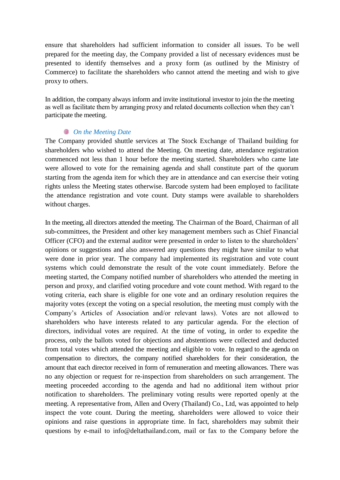ensure that shareholders had sufficient information to consider all issues. To be well prepared for the meeting day, the Company provided a list of necessary evidences must be presented to identify themselves and a proxy form (as outlined by the Ministry of Commerce) to facilitate the shareholders who cannot attend the meeting and wish to give proxy to others.

In addition, the company always inform and invite institutional investor to join the the meeting as well as facilitate them by arranging proxy and related documents collection when they can't participate the meeting.

#### *On the Meeting Date*

The Company provided shuttle services at The Stock Exchange of Thailand building for shareholders who wished to attend the Meeting. On meeting date, attendance registration commenced not less than 1 hour before the meeting started. Shareholders who came late were allowed to vote for the remaining agenda and shall constitute part of the quorum starting from the agenda item for which they are in attendance and can exercise their voting rights unless the Meeting states otherwise. Barcode system had been employed to facilitate the attendance registration and vote count. Duty stamps were available to shareholders without charges.

In the meeting, all directors attended the meeting. The Chairman of the Board, Chairman of all sub-committees, the President and other key management members such as Chief Financial Officer (CFO) and the external auditor were presented in order to listen to the shareholders' opinions or suggestions and also answered any questions they might have similar to what were done in prior year. The company had implemented its registration and vote count systems which could demonstrate the result of the vote count immediately. Before the meeting started, the Company notified number of shareholders who attended the meeting in person and proxy, and clarified voting procedure and vote count method. With regard to the voting criteria, each share is eligible for one vote and an ordinary resolution requires the majority votes (except the voting on a special resolution, the meeting must comply with the Company's Articles of Association and/or relevant laws). Votes are not allowed to shareholders who have interests related to any particular agenda. For the election of directors, individual votes are required. At the time of voting, in order to expedite the process, only the ballots voted for objections and abstentions were collected and deducted from total votes which attended the meeting and eligible to vote. In regard to the agenda on compensation to directors, the company notified shareholders for their consideration, the amount that each director received in form of remuneration and meeting allowances. There was no any objection or request for re-inspection from shareholders on such arrangement. The meeting proceeded according to the agenda and had no additional item without prior notification to shareholders. The preliminary voting results were reported openly at the meeting. A representative from, Allen and Overy (Thailand) Co., Ltd, was appointed to help inspect the vote count. During the meeting, shareholders were allowed to voice their opinions and raise questions in appropriate time. In fact, shareholders may submit their questions by e-mail to info@deltathailand.com, mail or fax to the Company before the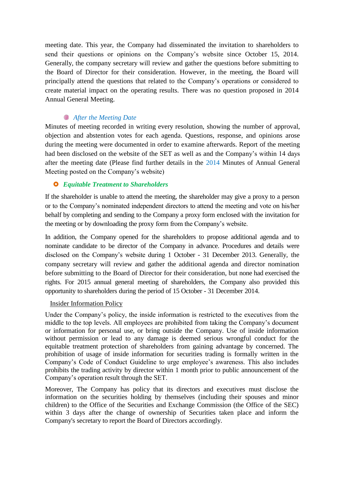meeting date. This year, the Company had disseminated the invitation to shareholders to send their questions or opinions on the Company's website since October 15, 2014. Generally, the company secretary will review and gather the questions before submitting to the Board of Director for their consideration. However, in the meeting, the Board will principally attend the questions that related to the Company's operations or considered to create material impact on the operating results. There was no question proposed in 2014 Annual General Meeting.

# *After the Meeting Date*

Minutes of meeting recorded in writing every resolution, showing the number of approval, objection and abstention votes for each agenda. Questions, response, and opinions arose during the meeting were documented in order to examine afterwards. Report of the meeting had been disclosed on the website of the SET as well as and the Company's within 14 days after the meeting date (Please find further details in the 2014 Minutes of Annual General Meeting posted on the Company's website)

# *Equitable Treatment to Shareholders*

If the shareholder is unable to attend the meeting, the shareholder may give a proxy to a person or to the Company's nominated independent directors to attend the meeting and vote on his/her behalf by completing and sending to the Company a proxy form enclosed with the invitation for the meeting or by downloading the proxy form from the Company's website.

In addition, the Company opened for the shareholders to propose additional agenda and to nominate candidate to be director of the Company in advance. Procedures and details were disclosed on the Company's website during 1 October - 31 December 2013. Generally, the company secretary will review and gather the additional agenda and director nomination before submitting to the Board of Director for their consideration, but none had exercised the rights. For 2015 annual general meeting of shareholders, the Company also provided this opportunity to shareholders during the period of 15 October - 31 December 2014.

# Insider Information Policy

Under the Company's policy, the inside information is restricted to the executives from the middle to the top levels. All employees are prohibited from taking the Company's document or information for personal use, or bring outside the Company. Use of inside information without permission or lead to any damage is deemed serious wrongful conduct for the equitable treatment protection of shareholders from gaining advantage by concerned. The prohibition of usage of inside information for securities trading is formally written in the Company's Code of Conduct Guideline to urge employee's awareness. This also includes prohibits the trading activity by director within 1 month prior to public announcement of the Company's operation result through the SET.

Moreover, The Company has policy that its directors and executives must disclose the information on the securities holding by themselves (including their spouses and minor children) to the Office of the Securities and Exchange Commission (the Office of the SEC) within 3 days after the change of ownership of Securities taken place and inform the Company's secretary to report the Board of Directors accordingly.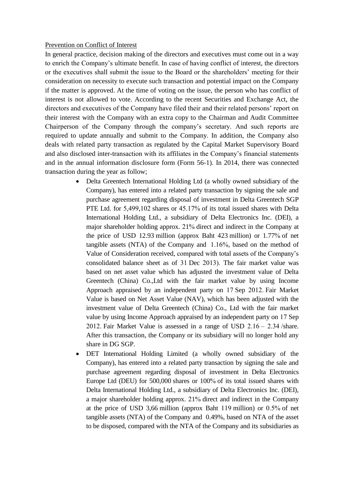#### Prevention on Conflict of Interest

In general practice, decision making of the directors and executives must come out in a way to enrich the Company's ultimate benefit. In case of having conflict of interest, the directors or the executives shall submit the issue to the Board or the shareholders' meeting for their consideration on necessity to execute such transaction and potential impact on the Company if the matter is approved. At the time of voting on the issue, the person who has conflict of interest is not allowed to vote. According to the recent Securities and Exchange Act, the directors and executives of the Company have filed their and their related persons' report on their interest with the Company with an extra copy to the Chairman and Audit Committee Chairperson of the Company through the company's secretary. And such reports are required to update annually and submit to the Company. In addition, the Company also deals with related party transaction as regulated by the Capital Market Supervisory Board and also disclosed inter-transaction with its affiliates in the Company's financial statements and in the annual information disclosure form (Form 56-1). In 2014, there was connected transaction during the year as follow;

- Delta Greentech International Holding Ltd (a wholly owned subsidiary of the Company), has entered into a related party transaction by signing the sale and purchase agreement regarding disposal of investment in Delta Greentech SGP PTE Ltd. for 5,499,102 shares or 45.17% of its total issued shares with Delta International Holding Ltd., a subsidiary of Delta Electronics Inc. (DEI), a major shareholder holding approx. 21% direct and indirect in the Company at the price of USD 12.93 million (approx Baht 423 million) or 1.77% of net tangible assets (NTA) of the Company and 1.16%, based on the method of Value of Consideration received, compared with total assets of the Company's consolidated balance sheet as of 31 Dec 2013). The fair market value was based on net asset value which has adjusted the investment value of Delta Greentech (China) Co.,Ltd with the fair market value by using Income Approach appraised by an independent party on 17 Sep 2012. Fair Market Value is based on Net Asset Value (NAV), which has been adjusted with the investment value of Delta Greentech (China) Co., Ltd with the fair market value by using Income Approach appraised by an independent party on 17 Sep 2012. Fair Market Value is assessed in a range of USD 2.16 – 2.34 /share. After this transaction, the Company or its subsidiary will no longer hold any share in DG SGP.
- DET International Holding Limited (a wholly owned subsidiary of the Company), has entered into a related party transaction by signing the sale and purchase agreement regarding disposal of investment in Delta Electronics Europe Ltd (DEU) for 500,000 shares or 100% of its total issued shares with Delta International Holding Ltd., a subsidiary of Delta Electronics Inc. (DEI), a major shareholder holding approx. 21% direct and indirect in the Company at the price of USD 3,66 million (approx Baht 119 million) or 0.5% of net tangible assets (NTA) of the Company and 0.49%, based on NTA of the asset to be disposed, compared with the NTA of the Company and its subsidiaries as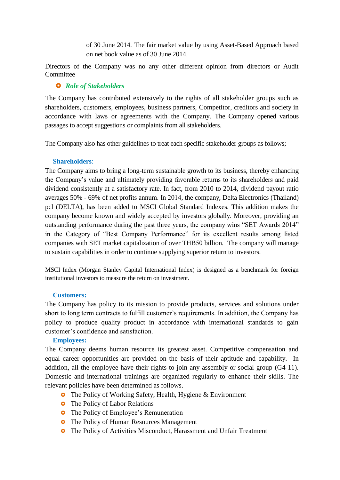of 30 June 2014. The fair market value by using Asset-Based Approach based on net book value as of 30 June 2014.

Directors of the Company was no any other different opinion from directors or Audit **Committee** 

# *Role of Stakeholders*

The Company has contributed extensively to the rights of all stakeholder groups such as shareholders, customers, employees, business partners, Competitor, creditors and society in accordance with laws or agreements with the Company. The Company opened various passages to accept suggestions or complaints from all stakeholders.

The Company also has other guidelines to treat each specific stakeholder groups as follows;

#### **Shareholders**:

The Company aims to bring a long-term sustainable growth to its business, thereby enhancing the Company's value and ultimately providing favorable returns to its shareholders and paid dividend consistently at a satisfactory rate. In fact, from 2010 to 2014, dividend payout ratio averages 50% - 69% of net profits annum. In 2014, the company, Delta Electronics (Thailand) pcl (DELTA), has been added to MSCI Global Standard Indexes. This addition makes the company become known and widely accepted by investors globally. Moreover, providing an outstanding performance during the past three years, the company wins "SET Awards 2014" in the Category of "Best Company Performance" for its excellent results among listed companies with SET market capitalization of over THB50 billion. The company will manage to sustain capabilities in order to continue supplying superior return to investors.

MSCI Index (Morgan Stanley Capital International Index) is designed as a benchmark for foreign institutional investors to measure the return on investment.

#### **Customers:**

\_\_\_\_\_\_\_\_\_\_\_\_\_\_\_\_\_\_\_\_\_\_\_\_\_\_\_\_\_\_\_

The Company has policy to its mission to provide products, services and solutions under short to long term contracts to fulfill customer's requirements. In addition, the Company has policy to produce quality product in accordance with international standards to gain customer's confidence and satisfaction.

#### **Employees:**

The Company deems human resource its greatest asset. Competitive compensation and equal career opportunities are provided on the basis of their aptitude and capability. In addition, all the employee have their rights to join any assembly or social group (G4-11). Domestic and international trainings are organized regularly to enhance their skills. The relevant policies have been determined as follows.

- **o** The Policy of Working Safety, Health, Hygiene & Environment
- **o** The Policy of Labor Relations
- **•** The Policy of Employee's Remuneration
- **•** The Policy of Human Resources Management
- The Policy of Activities Misconduct, Harassment and Unfair Treatment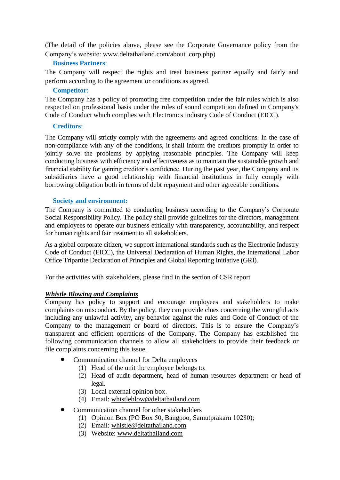(The detail of the policies above, please see the Corporate Governance policy from the Company's website: [www.deltathailand.com/about\\_corp.php\)](http://www.deltathailand.com/about_corp.php)

# **Business Partners**:

The Company will respect the rights and treat business partner equally and fairly and perform according to the agreement or conditions as agreed.

#### **Competitor**:

The Company has a policy of promoting free competition under the fair rules which is also respected on professional basis under the rules of sound competition defined in Company's Code of Conduct which complies with Electronics Industry Code of Conduct (EICC).

#### **Creditors**:

The Company will strictly comply with the agreements and agreed conditions. In the case of non-compliance with any of the conditions, it shall inform the creditors promptly in order to jointly solve the problems by applying reasonable principles. The Company will keep conducting business with efficiency and effectiveness as to maintain the sustainable growth and financial stability for gaining creditor's confidence. During the past year, the Company and its subsidiaries have a good relationship with financial institutions in fully comply with borrowing obligation both in terms of debt repayment and other agreeable conditions.

#### **Society and environment:**

The Company is committed to conducting business according to the Company's Corporate Social Responsibility Policy. The policy shall provide guidelines for the directors, management and employees to operate our business ethically with transparency, accountability, and respect for human rights and fair treatment to all stakeholders.

As a global corporate citizen, we support international standards such as the Electronic Industry Code of Conduct (EICC), the Universal Declaration of Human Rights, the International Labor Office Tripartite Declaration of Principles and Global Reporting Initiative (GRI).

For the activities with stakeholders, please find in the section of CSR report

# *Whistle Blowing and Complaints*

Company has policy to support and encourage employees and stakeholders to make complaints on misconduct. By the policy, they can provide clues concerning the wrongful acts including any unlawful activity, any behavior against the rules and Code of Conduct of the Company to the management or board of directors. This is to ensure the Company's transparent and efficient operations of the Company. The Company has established the following communication channels to allow all stakeholders to provide their feedback or file complaints concerning this issue.

- Communication channel for Delta employees
	- (1) Head of the unit the employee belongs to.
	- (2) Head of audit department, head of human resources department or head of legal.
	- (3) Local external opinion box.
	- (4) Email: [whistleblow@deltathailand.com](mailto:whistleblow@deltathailand.com)
- Communication channel for other stakeholders
	- (1) Opinion Box (PO Box 50, Bangpoo, Samutprakarn 10280);
	- (2) Email: [whistle@deltathailand.com](mailto:whistle@deltathailand.com)
	- (3) Website: [www.deltathailand.com](http://www.deltathailand.com/)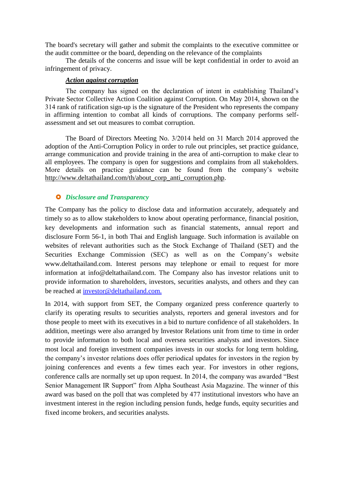The board's secretary will gather and submit the complaints to the executive committee or the audit committee or the board, depending on the relevance of the complaints

The details of the concerns and issue will be kept confidential in order to avoid an infringement of privacy.

#### *Action against corruption*

The company has signed on the declaration of intent in establishing Thailand's Private Sector Collective Action Coalition against Corruption. On May 2014, shown on the 314 rank of ratification sign-up is the signature of the President who represents the company in affirming intention to combat all kinds of corruptions. The company performs selfassessment and set out measures to combat corruption.

The Board of Directors Meeting No. 3/2014 held on 31 March 2014 approved the adoption of the Anti-Corruption Policy in order to rule out principles, set practice guidance, arrange communication and provide training in the area of anti-corruption to make clear to all employees. The company is open for suggestions and complains from all stakeholders. More details on practice guidance can be found from the company's website [http://www.deltathailand.com/th/about\\_corp\\_anti\\_corruption.php.](http://www.deltathailand.com/th/about_corp_anti_corruption.php)

# *Disclosure and Transparency*

The Company has the policy to disclose data and information accurately, adequately and timely so as to allow stakeholders to know about operating performance, financial position, key developments and information such as financial statements, annual report and disclosure Form 56-1, in both Thai and English language. Such information is available on websites of relevant authorities such as the Stock Exchange of Thailand (SET) and the Securities Exchange Commission (SEC) as well as on the Company's website www.deltathailand.com. Interest persons may telephone or email to request for more information at info@deltathailand.com. The Company also has investor relations unit to provide information to shareholders, investors, securities analysts, and others and they can be reached at investor@deltathailand.com.

In 2014, with support from SET, the Company organized press conference quarterly to clarify its operating results to securities analysts, reporters and general investors and for those people to meet with its executives in a bid to nurture confidence of all stakeholders. In addition, meetings were also arranged by Investor Relations unit from time to time in order to provide information to both local and oversea securities analysts and investors. Since most local and foreign investment companies invests in our stocks for long term holding, the company's investor relations does offer periodical updates for investors in the region by joining conferences and events a few times each year. For investors in other regions, conference calls are normally set up upon request. In 2014, the company was awarded "Best Senior Management IR Support" from Alpha Southeast Asia Magazine. The winner of this award was based on the poll that was completed by 477 institutional investors who have an investment interest in the region including pension funds, hedge funds, equity securities and fixed income brokers, and securities analysts.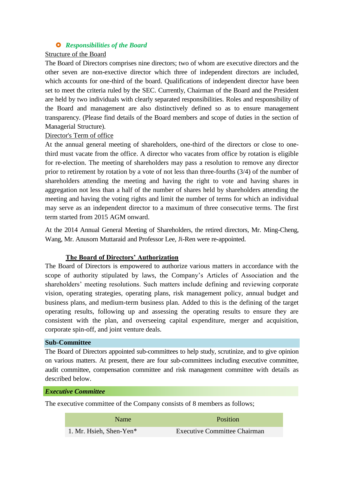# *Responsibilities of the Board*

#### Structure of the Board

The Board of Directors comprises nine directors; two of whom are executive directors and the other seven are non-exective director which three of independent directors are included, which accounts for one-third of the board. Qualifications of independent director have been set to meet the criteria ruled by the SEC. Currently, Chairman of the Board and the President are held by two individuals with clearly separated responsibilities. Roles and responsibility of the Board and management are also distinctively defined so as to ensure management transparency. (Please find details of the Board members and scope of duties in the section of Managerial Structure).

#### Director's Term of office

At the annual general meeting of shareholders, one-third of the directors or close to onethird must vacate from the office. A director who vacates from office by rotation is eligible for re-election. The meeting of shareholders may pass a resolution to remove any director prior to retirement by rotation by a vote of not less than three-fourths (3/4) of the number of shareholders attending the meeting and having the right to vote and having shares in aggregation not less than a half of the number of shares held by shareholders attending the meeting and having the voting rights and limit the number of terms for which an individual may serve as an independent director to a maximum of three consecutive terms. The first term started from 2015 AGM onward.

At the 2014 Annual General Meeting of Shareholders, the retired directors, Mr. Ming-Cheng, Wang, Mr. Anusorn Muttaraid and Professor Lee, Ji-Ren were re-appointed.

# **The Board of Directors' Authorization**

The Board of Directors is empowered to authorize various matters in accordance with the scope of authority stipulated by laws, the Company's Articles of Association and the shareholders' meeting resolutions. Such matters include defining and reviewing corporate vision, operating strategies, operating plans, risk management policy, annual budget and business plans, and medium-term business plan. Added to this is the defining of the target operating results, following up and assessing the operating results to ensure they are consistent with the plan, and overseeing capital expenditure, merger and acquisition, corporate spin-off, and joint venture deals.

### **Sub-Committee**

The Board of Directors appointed sub-committees to help study, scrutinize, and to give opinion on various matters. At present, there are four sub-committees including executive committee, audit committee, compensation committee and risk management committee with details as described below.

#### *Executive Committee*

The executive committee of the Company consists of 8 members as follows;

| <b>Name</b>             | <b>Position</b>                     |
|-------------------------|-------------------------------------|
| 1. Mr. Hsieh, Shen-Yen* | <b>Executive Committee Chairman</b> |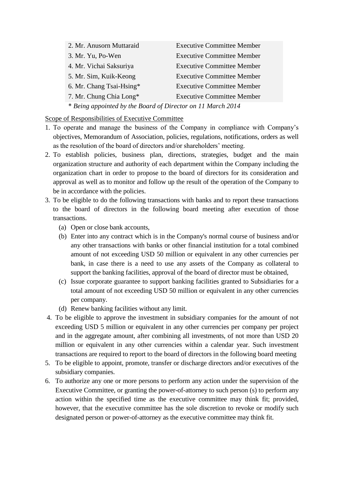| 2. Mr. Anusorn Muttaraid                                    | <b>Executive Committee Member</b> |  |  |  |
|-------------------------------------------------------------|-----------------------------------|--|--|--|
| 3. Mr. Yu, Po-Wen                                           | <b>Executive Committee Member</b> |  |  |  |
| 4. Mr. Vichai Saksuriya                                     | <b>Executive Committee Member</b> |  |  |  |
| 5. Mr. Sim, Kuik-Keong                                      | <b>Executive Committee Member</b> |  |  |  |
| 6. Mr. Chang Tsai-Hsing*                                    | <b>Executive Committee Member</b> |  |  |  |
| 7. Mr. Chung Chia Long*                                     | <b>Executive Committee Member</b> |  |  |  |
| * Being appointed by the Board of Director on 11 March 2014 |                                   |  |  |  |

Scope of Responsibilities of Executive Committee

- 1. To operate and manage the business of the Company in compliance with Company's objectives, Memorandum of Association, policies, regulations, notifications, orders as well as the resolution of the board of directors and/or shareholders' meeting.
- 2. To establish policies, business plan, directions, strategies, budget and the main organization structure and authority of each department within the Company including the organization chart in order to propose to the board of directors for its consideration and approval as well as to monitor and follow up the result of the operation of the Company to be in accordance with the policies.
- 3. To be eligible to do the following transactions with banks and to report these transactions to the board of directors in the following board meeting after execution of those transactions.
	- (a) Open or close bank accounts,
	- (b) Enter into any contract which is in the Company's normal course of business and/or any other transactions with banks or other financial institution for a total combined amount of not exceeding USD 50 million or equivalent in any other currencies per bank, in case there is a need to use any assets of the Company as collateral to support the banking facilities, approval of the board of director must be obtained,
	- (c) Issue corporate guarantee to support banking facilities granted to Subsidiaries for a total amount of not exceeding USD 50 million or equivalent in any other currencies per company.
	- (d) Renew banking facilities without any limit.
- 4. To be eligible to approve the investment in subsidiary companies for the amount of not exceeding USD 5 million or equivalent in any other currencies per company per project and in the aggregate amount, after combining all investments, of not more than USD 20 million or equivalent in any other currencies within a calendar year. Such investment transactions are required to report to the board of directors in the following board meeting
- 5. To be eligible to appoint, promote, transfer or discharge directors and/or executives of the subsidiary companies.
- 6. To authorize any one or more persons to perform any action under the supervision of the Executive Committee, or granting the power-of-attorney to such person (s) to perform any action within the specified time as the executive committee may think fit; provided, however, that the executive committee has the sole discretion to revoke or modify such designated person or power-of-attorney as the executive committee may think fit.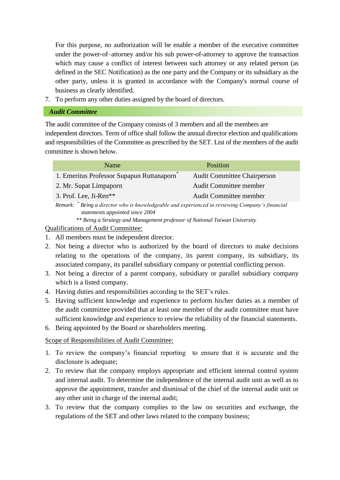For this purpose, no authorization will be enable a member of the executive committee under the power-of–attorney and/or his sub power-of-attorney to approve the transaction which may cause a conflict of interest between such attorney or any related person (as defined in the SEC Notification) as the one party and the Company or its subsidiary as the other party, unless it is granted in accordance with the Company's normal course of business as clearly identified.

7. To perform any other duties assigned by the board of directors.

### *Audit Committee*

The audit committee of the Company consists of 3 members and all the members are independent directors. Term of office shall follow the annual director election and qualifications and responsibilities of the Committee as prescribed by the SET. List of the members of the audit committee is shown below.

| Name                                                                                                                                | <b>Position</b>                    |  |
|-------------------------------------------------------------------------------------------------------------------------------------|------------------------------------|--|
| 1. Emeritus Professor Supapun Ruttanaporn <sup>®</sup>                                                                              | <b>Audit Committee Chairperson</b> |  |
| 2. Mr. Supat Limpaporn                                                                                                              | <b>Audit Committee member</b>      |  |
| 3. Prof. Lee, Ji-Ren**                                                                                                              | <b>Audit Committee member</b>      |  |
| Remark: * Being a director who is knowledgeable and experienced in reviewing Company's financial<br>statements appointed since 2004 |                                    |  |

*\*\* Being a Strategy and Management professor of National Taiwan University*

# Qualifications of Audit Committee:

- 1. All members must be independent director.
- 2. Not being a director who is authorized by the board of directors to make decisions relating to the operations of the company, its parent company, its subsidiary, its associated company, its parallel subsidiary company or potential conflicting person.
- 3. Not being a director of a parent company, subsidiary or parallel subsidiary company which is a listed company.
- 4. Having duties and responsibilities according to the SET's rules.
- 5. Having sufficient knowledge and experience to perform his/her duties as a member of the audit committee provided that at least one member of the audit committee must have sufficient knowledge and experience to review the reliability of the financial statements.
- 6. Being appointed by the Board or shareholders meeting.

# Scope of Responsibilities of Audit Committee:

- 1. To review the company's financial reporting to ensure that it is accurate and the disclosure is adequate;
- 2. To review that the company employs appropriate and efficient internal control system and internal audit. To determine the independence of the internal audit unit as well as to approve the appointment, transfer and dismissal of the chief of the internal audit unit or any other unit in charge of the internal audit;
- 3. To review that the company complies to the law on securities and exchange, the regulations of the SET and other laws related to the company business;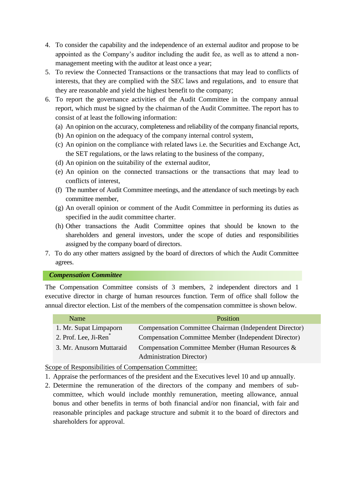- 4. To consider the capability and the independence of an external auditor and propose to be appointed as the Company's auditor including the audit fee, as well as to attend a nonmanagement meeting with the auditor at least once a year;
- 5. To review the Connected Transactions or the transactions that may lead to conflicts of interests, that they are complied with the SEC laws and regulations, and to ensure that they are reasonable and yield the highest benefit to the company;
- 6. To report the governance activities of the Audit Committee in the company annual report, which must be signed by the chairman of the Audit Committee. The report has to consist of at least the following information:
	- (a) An opinion on the accuracy, completeness and reliability of the company financial reports,
	- (b) An opinion on the adequacy of the company internal control system,
	- (c) An opinion on the compliance with related laws i.e. the Securities and Exchange Act, the SET regulations, or the laws relating to the business of the company,
	- (d) An opinion on the suitability of the external auditor,
	- (e) An opinion on the connected transactions or the transactions that may lead to conflicts of interest,
	- (f) The number of Audit Committee meetings, and the attendance of such meetings by each committee member,
	- (g) An overall opinion or comment of the Audit Committee in performing its duties as specified in the audit committee charter.
	- (h) Other transactions the Audit Committee opines that should be known to the shareholders and general investors, under the scope of duties and responsibilities assigned by the company board of directors.
- 7. To do any other matters assigned by the board of directors of which the Audit Committee agrees.

#### *Compensation Committee*

The Compensation Committee consists of 3 members, 2 independent directors and 1 executive director in charge of human resources function. Term of office shall follow the annual director election. List of the members of the compensation committee is shown below.

| Name                              | Position                                                    |
|-----------------------------------|-------------------------------------------------------------|
| 1. Mr. Supat Limpaporn            | Compensation Committee Chairman (Independent Director)      |
| 2. Prof. Lee, Ji-Ren <sup>*</sup> | <b>Compensation Committee Member (Independent Director)</b> |
| 3. Mr. Anusorn Muttaraid          | Compensation Committee Member (Human Resources &            |
|                                   | <b>Administration Director</b> )                            |

Scope of Responsibilities of Compensation Committee:

- 1. Appraise the performances of the president and the Executives level 10 and up annually.
- 2. Determine the remuneration of the directors of the company and members of subcommittee, which would include monthly remuneration, meeting allowance, annual bonus and other benefits in terms of both financial and/or non financial, with fair and reasonable principles and package structure and submit it to the board of directors and shareholders for approval.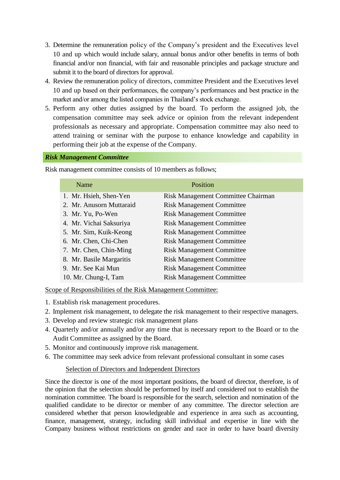- 3. Determine the remuneration policy of the Company's president and the Executives level 10 and up which would include salary, annual bonus and/or other benefits in terms of both financial and/or non financial, with fair and reasonable principles and package structure and submit it to the board of directors for approval.
- 4. Review the remuneration policy of directors, committee President and the Executives level 10 and up based on their performances, the company's performances and best practice in the market and/or among the listed companies in Thailand's stock exchange.
- 5. Perform any other duties assigned by the board. To perform the assigned job, the compensation committee may seek advice or opinion from the relevant independent professionals as necessary and appropriate. Compensation committee may also need to attend training or seminar with the purpose to enhance knowledge and capability in performing their job at the expense of the Company.

#### *Risk Management Committee*

Risk management committee consists of 10 members as follows;

| Name                     | Position                           |
|--------------------------|------------------------------------|
| 1. Mr. Hsieh, Shen-Yen   | Risk Management Committee Chairman |
| 2. Mr. Anusorn Muttaraid | <b>Risk Management Committee</b>   |
| 3. Mr. Yu, Po-Wen        | <b>Risk Management Committee</b>   |
| 4. Mr. Vichai Saksuriya  | <b>Risk Management Committee</b>   |
| 5. Mr. Sim, Kuik-Keong   | <b>Risk Management Committee</b>   |
| 6. Mr. Chen, Chi-Chen    | <b>Risk Management Committee</b>   |
| 7. Mr. Chen, Chin-Ming   | <b>Risk Management Committee</b>   |
| 8. Mr. Basile Margaritis | <b>Risk Management Committee</b>   |
| 9. Mr. See Kai Mun       | <b>Risk Management Committee</b>   |
| 10. Mr. Chung-I, Tam     | <b>Risk Management Committee</b>   |

Scope of Responsibilities of the Risk Management Committee:

- 1. Establish risk management procedures.
- 2. Implement risk management, to delegate the risk management to their respective managers.
- 3. Develop and review strategic risk management plans
- 4. Quarterly and/or annually and/or any time that is necessary report to the Board or to the Audit Committee as assigned by the Board.
- 5. Monitor and continuously improve risk management.
- 6. The committee may seek advice from relevant professional consultant in some cases

#### Selection of Directors and Independent Directors

Since the director is one of the most important positions, the board of director, therefore, is of the opinion that the selection should be performed by itself and considered not to establish the nomination committee. The board is responsible for the search, selection and nomination of the qualified candidate to be director or member of any committee. The director selection are considered whether that person knowledgeable and experience in area such as accounting, finance, management, strategy, including skill individual and expertise in line with the Company business without restrictions on gender and race in order to have board diversity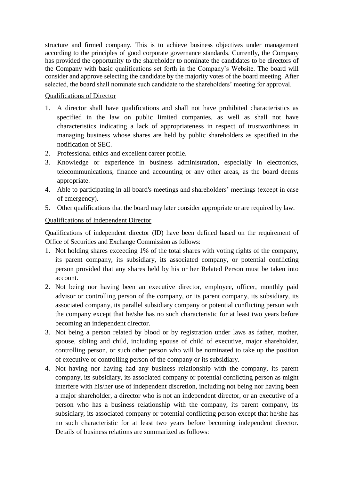structure and firmed company. This is to achieve business objectives under management according to the principles of good corporate governance standards. Currently, the Company has provided the opportunity to the shareholder to nominate the candidates to be directors of the Company with basic qualifications set forth in the Company's Website. The board will consider and approve selecting the candidate by the majority votes of the board meeting. After selected, the board shall nominate such candidate to the shareholders' meeting for approval.

# Qualifications of Director

- 1. A director shall have qualifications and shall not have prohibited characteristics as specified in the law on public limited companies, as well as shall not have characteristics indicating a lack of appropriateness in respect of trustworthiness in managing business whose shares are held by public shareholders as specified in the notification of SEC.
- 2. Professional ethics and excellent career profile.
- 3. Knowledge or experience in business administration, especially in electronics, telecommunications, finance and accounting or any other areas, as the board deems appropriate.
- 4. Able to participating in all board's meetings and shareholders' meetings (except in case of emergency).
- 5. Other qualifications that the board may later consider appropriate or are required by law.

# Qualifications of Independent Director

Qualifications of independent director (ID) have been defined based on the requirement of Office of Securities and Exchange Commission as follows:

- 1. Not holding shares exceeding 1% of the total shares with voting rights of the company, its parent company, its subsidiary, its associated company, or potential conflicting person provided that any shares held by his or her Related Person must be taken into account.
- 2. Not being nor having been an executive director, employee, officer, monthly paid advisor or controlling person of the company, or its parent company, its subsidiary, its associated company, its parallel subsidiary company or potential conflicting person with the company except that he/she has no such characteristic for at least two years before becoming an independent director.
- 3. Not being a person related by blood or by registration under laws as father, mother, spouse, sibling and child, including spouse of child of executive, major shareholder, controlling person, or such other person who will be nominated to take up the position of executive or controlling person of the company or its subsidiary.
- 4. Not having nor having had any business relationship with the company, its parent company, its subsidiary, its associated company or potential conflicting person as might interfere with his/her use of independent discretion, including not being nor having been a major shareholder, a director who is not an independent director, or an executive of a person who has a business relationship with the company, its parent company, its subsidiary, its associated company or potential conflicting person except that he/she has no such characteristic for at least two years before becoming independent director. Details of business relations are summarized as follows: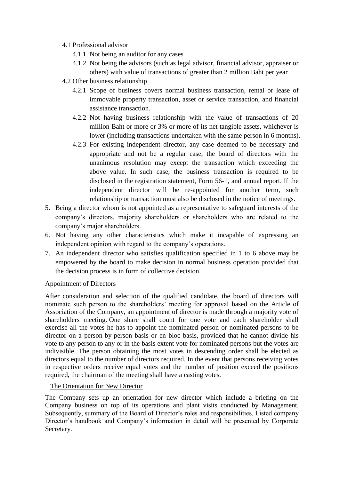#### 4.1 Professional advisor

- 4.1.1 Not being an auditor for any cases
- 4.1.2 Not being the advisors (such as legal advisor, financial advisor, appraiser or others) with value of transactions of greater than 2 million Baht per year
- 4.2 Other business relationship
	- 4.2.1 Scope of business covers normal business transaction, rental or lease of immovable property transaction, asset or service transaction, and financial assistance transaction.
	- 4.2.2 Not having business relationship with the value of transactions of 20 million Baht or more or 3% or more of its net tangible assets, whichever is lower (including transactions undertaken with the same person in 6 months).
	- 4.2.3 For existing independent director, any case deemed to be necessary and appropriate and not be a regular case, the board of directors with the unanimous resolution may except the transaction which exceeding the above value. In such case, the business transaction is required to be disclosed in the registration statement, Form 56-1, and annual report. If the independent director will be re-appointed for another term, such relationship or transaction must also be disclosed in the notice of meetings.
- 5. Being a director whom is not appointed as a representative to safeguard interests of the company's directors, majority shareholders or shareholders who are related to the company's major shareholders.
- 6. Not having any other characteristics which make it incapable of expressing an independent opinion with regard to the company's operations.
- 7. An independent director who satisfies qualification specified in 1 to 6 above may be empowered by the board to make decision in normal business operation provided that the decision process is in form of collective decision.

# Appointment of Directors

After consideration and selection of the qualified candidate, the board of directors will nominate such person to the shareholders' meeting for approval based on the Article of Association of the Company, an appointment of director is made through a majority vote of shareholders meeting. One share shall count for one vote and each shareholder shall exercise all the votes he has to appoint the nominated person or nominated persons to be director on a person-by-person basis or en bloc basis, provided that he cannot divide his vote to any person to any or in the basis extent vote for nominated persons but the votes are indivisible. The person obtaining the most votes in descending order shall be elected as directors equal to the number of directors required. In the event that persons receiving votes in respective orders receive equal votes and the number of position exceed the positions required, the chairman of the meeting shall have a casting votes.

# The Orientation for New Director

The Company sets up an orientation for new director which include a briefing on the Company business on top of its operations and plant visits conducted by Management. Subsequently, summary of the Board of Director's roles and responsibilities, Listed company Director's handbook and Company's information in detail will be presented by Corporate Secretary.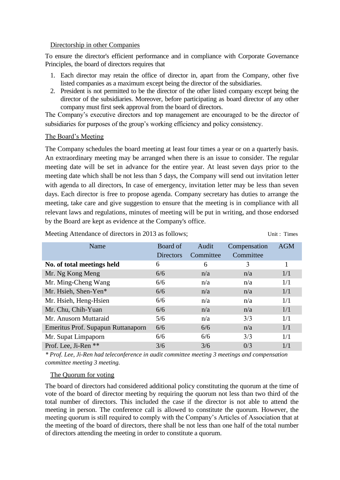#### Directorship in other Companies

To ensure the director's efficient performance and in compliance with Corporate Governance Principles, the board of directors requires that

- 1. Each director may retain the office of director in, apart from the Company, other five listed companies as a maximum except being the director of the subsidiaries.
- 2. President is not permitted to be the director of the other listed company except being the director of the subsidiaries. Moreover, before participating as board director of any other company must first seek approval from the board of directors.

The Company's executive directors and top management are encouraged to be the director of subsidiaries for purposes of the group's working efficiency and policy consistency.

#### The Board's Meeting

The Company schedules the board meeting at least four times a year or on a quarterly basis. An extraordinary meeting may be arranged when there is an issue to consider. The regular meeting date will be set in advance for the entire year. At least seven days prior to the meeting date which shall be not less than 5 days, the Company will send out invitation letter with agenda to all directors, In case of emergency, invitation letter may be less than seven days. Each director is free to propose agenda. Company secretary has duties to arrange the meeting, take care and give suggestion to ensure that the meeting is in compliance with all relevant laws and regulations, minutes of meeting will be put in writing, and those endorsed by the Board are kept as evidence at the Company's office.

Meeting Attendance of directors in 2013 as follows; Unit: Times

| Name                               | Board of<br><b>Directors</b> | Audit<br>Committee | Compensation<br>Committee | <b>AGM</b> |
|------------------------------------|------------------------------|--------------------|---------------------------|------------|
| No. of total meetings held         | 6                            | 6                  | 3                         | 1          |
| Mr. Ng Kong Meng                   | 6/6                          | n/a                | n/a                       | 1/1        |
| Mr. Ming-Cheng Wang                | 6/6                          | n/a                | n/a                       | 1/1        |
| Mr. Hsieh, Shen-Yen*               | 6/6                          | n/a                | n/a                       | 1/1        |
| Mr. Hsieh, Heng-Hsien              | 6/6                          | n/a                | n/a                       | 1/1        |
| Mr. Chu, Chih-Yuan                 | 6/6                          | n/a                | n/a                       | 1/1        |
| Mr. Anusorn Muttaraid              | 5/6                          | n/a                | 3/3                       | 1/1        |
| Emeritus Prof. Supapun Ruttanaporn | 6/6                          | 6/6                | n/a                       | 1/1        |
| Mr. Supat Limpaporn                | 6/6                          | 6/6                | 3/3                       | 1/1        |
| Prof. Lee, Ji-Ren **               | 3/6                          | 3/6                | 0/3                       | 1/1        |

*\* Prof. Lee, Ji-Ren had teleconference in audit committee meeting 3 meetings and compensation committee meeting 3 meeting.*

#### The Quorum for voting

The board of directors had considered additional policy constituting the quorum at the time of vote of the board of director meeting by requiring the quorum not less than two third of the total number of directors. This included the case if the director is not able to attend the meeting in person. The conference call is allowed to constitute the quorum. However, the meeting quorum is still required to comply with the Company's Articles of Association that at the meeting of the board of directors, there shall be not less than one half of the total number of directors attending the meeting in order to constitute a quorum.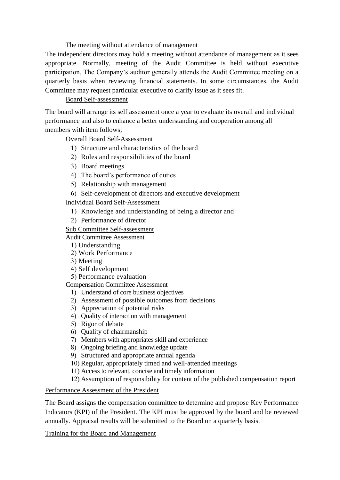#### The meeting without attendance of management

The independent directors may hold a meeting without attendance of management as it sees appropriate. Normally, meeting of the Audit Committee is held without executive participation. The Company's auditor generally attends the Audit Committee meeting on a quarterly basis when reviewing financial statements. In some circumstances, the Audit Committee may request particular executive to clarify issue as it sees fit.

# Board Self-assessment

The board will arrange its self assessment once a year to evaluate its overall and individual performance and also to enhance a better understanding and cooperation among all members with item follows:

Overall Board Self-Assessment

- 1) Structure and characteristics of the board
- 2) Roles and responsibilities of the board
- 3) Board meetings
- 4) The board's performance of duties
- 5) Relationship with management
- 6) Self-development of directors and executive development

Individual Board Self-Assessment

- 1) Knowledge and understanding of being a director and
- 2) Performance of director

# Sub Committee Self-assessment

- Audit Committee Assessment
	- 1) Understanding
	- 2) Work Performance
	- 3) Meeting
	- 4) Self development
	- 5) Performance evaluation

# Compensation Committee Assessment

- 1) Understand of core business objectives
- 2) Assessment of possible outcomes from decisions
- 3) Appreciation of potential risks
- 4) Quality of interaction with management
- 5) Rigor of debate
- 6) Quality of chairmanship
- 7) Members with appropriates skill and experience
- 8) Ongoing briefing and knowledge update
- 9) Structured and appropriate annual agenda
- 10) Regular, appropriately timed and well-attended meetings
- 11) Access to relevant, concise and timely information
- 12) Assumption of responsibility for content of the published compensation report

# Performance Assessment of the President

The Board assigns the compensation committee to determine and propose Key Performance Indicators (KPI) of the President. The KPI must be approved by the board and be reviewed annually. Appraisal results will be submitted to the Board on a quarterly basis.

# Training for the Board and Management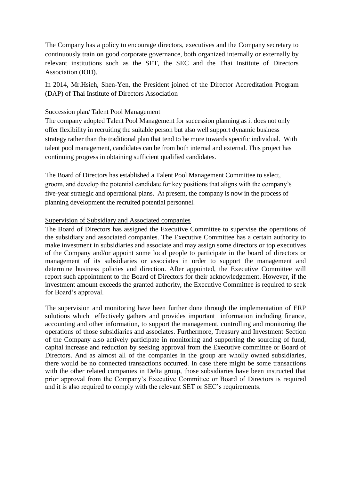The Company has a policy to encourage directors, executives and the Company secretary to continuously train on good corporate governance, both organized internally or externally by relevant institutions such as the SET, the SEC and the Thai Institute of Directors Association (IOD).

In 2014, Mr.Hsieh, Shen-Yen, the President joined of the Director Accreditation Program (DAP) of Thai Institute of Directors Association

#### Succession plan/ Talent Pool Management

The company adopted Talent Pool Management for succession planning as it does not only offer flexibility in recruiting the suitable person but also well support dynamic business strategy rather than the traditional plan that tend to be more towards specific individual. With talent pool management, candidates can be from both internal and external. This project has continuing progress in obtaining sufficient qualified candidates.

The Board of Directors has established a Talent Pool Management Committee to select, groom, and develop the potential candidate for key positions that aligns with the company's five-year strategic and operational plans. At present, the company is now in the process of planning development the recruited potential personnel.

#### Supervision of Subsidiary and Associated companies

The Board of Directors has assigned the Executive Committee to supervise the operations of the subsidiary and associated companies. The Executive Committee has a certain authority to make investment in subsidiaries and associate and may assign some directors or top executives of the Company and/or appoint some local people to participate in the board of directors or management of its subsidiaries or associates in order to support the management and determine business policies and direction. After appointed, the Executive Committee will report such appointment to the Board of Directors for their acknowledgement. However, if the investment amount exceeds the granted authority, the Executive Committee is required to seek for Board's approval.

The supervision and monitoring have been further done through the implementation of ERP solutions which effectively gathers and provides important information including finance, accounting and other information, to support the management, controlling and monitoring the operations of those subsidiaries and associates. Furthermore, Treasury and Investment Section of the Company also actively participate in monitoring and supporting the sourcing of fund, capital increase and reduction by seeking approval from the Executive committee or Board of Directors. And as almost all of the companies in the group are wholly owned subsidiaries, there would be no connected transactions occurred. In case there might be some transactions with the other related companies in Delta group, those subsidiaries have been instructed that prior approval from the Company's Executive Committee or Board of Directors is required and it is also required to comply with the relevant SET or SEC's requirements.